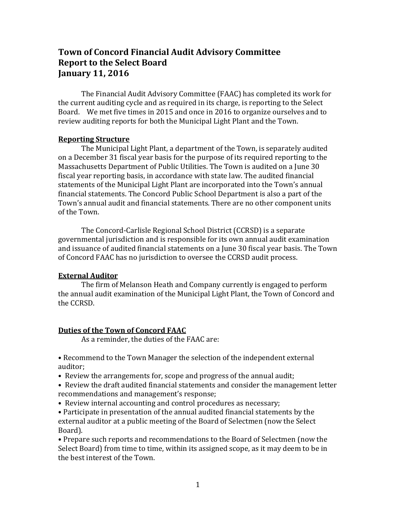# **Town of Concord Financial Audit Advisory Committee Report to the Select Board January 11, 2016**

The Financial Audit Advisory Committee (FAAC) has completed its work for the current auditing cycle and as required in its charge, is reporting to the Select Board. We met five times in 2015 and once in 2016 to organize ourselves and to review auditing reports for both the Municipal Light Plant and the Town.

#### **Reporting Structure**

The Municipal Light Plant, a department of the Town, is separately audited on a December 31 fiscal year basis for the purpose of its required reporting to the Massachusetts Department of Public Utilities. The Town is audited on a June 30 fiscal year reporting basis, in accordance with state law. The audited financial statements of the Municipal Light Plant are incorporated into the Town's annual financial statements. The Concord Public School Department is also a part of the Town's annual audit and financial statements. There are no other component units of the Town.

The Concord-Carlisle Regional School District (CCRSD) is a separate governmental jurisdiction and is responsible for its own annual audit examination and issuance of audited financial statements on a June 30 fiscal year basis. The Town of Concord FAAC has no jurisdiction to oversee the CCRSD audit process.

# **External Auditor**

The firm of Melanson Heath and Company currently is engaged to perform the annual audit examination of the Municipal Light Plant, the Town of Concord and the CCRSD.

# **Duties of the Town of Concord FAAC**

As a reminder, the duties of the FAAC are:

• Recommend to the Town Manager the selection of the independent external auditor;

• Review the arrangements for, scope and progress of the annual audit;

• Review the draft audited financial statements and consider the management letter recommendations and management's response;

• Review internal accounting and control procedures as necessary;

• Participate in presentation of the annual audited financial statements by the external auditor at a public meeting of the Board of Selectmen (now the Select Board).

• Prepare such reports and recommendations to the Board of Selectmen (now the Select Board) from time to time, within its assigned scope, as it may deem to be in the best interest of the Town.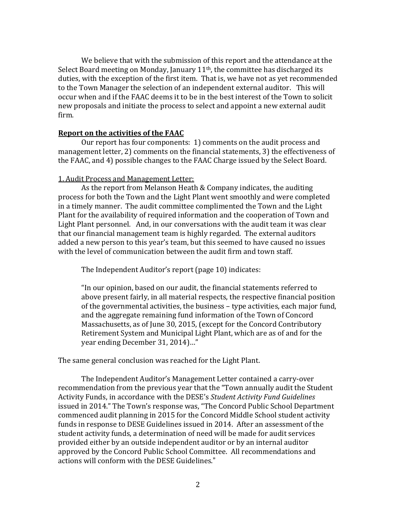We believe that with the submission of this report and the attendance at the Select Board meeting on Monday, January  $11<sup>th</sup>$ , the committee has discharged its duties, with the exception of the first item. That is, we have not as yet recommended to the Town Manager the selection of an independent external auditor. This will occur when and if the FAAC deems it to be in the best interest of the Town to solicit new proposals and initiate the process to select and appoint a new external audit firm.

## **Report on the activities of the FAAC**

Our report has four components: 1) comments on the audit process and management letter, 2) comments on the financial statements, 3) the effectiveness of the FAAC, and 4) possible changes to the FAAC Charge issued by the Select Board.

## 1. Audit Process and Management Letter:

As the report from Melanson Heath & Company indicates, the auditing process for both the Town and the Light Plant went smoothly and were completed in a timely manner. The audit committee complimented the Town and the Light Plant for the availability of required information and the cooperation of Town and Light Plant personnel. And, in our conversations with the audit team it was clear that our financial management team is highly regarded. The external auditors added a new person to this year's team, but this seemed to have caused no issues with the level of communication between the audit firm and town staff.

The Independent Auditor's report (page 10) indicates:

"In our opinion, based on our audit, the financial statements referred to above present fairly, in all material respects, the respective financial position of the governmental activities, the business – type activities, each major fund, and the aggregate remaining fund information of the Town of Concord Massachusetts, as of June 30, 2015, (except for the Concord Contributory Retirement System and Municipal Light Plant, which are as of and for the year ending December 31, 2014)…"

The same general conclusion was reached for the Light Plant.

The Independent Auditor's Management Letter contained a carry-over recommendation from the previous year that the "Town annually audit the Student Activity Funds, in accordance with the DESE's *Student Activity Fund Guidelines* issued in 2014." The Town's response was, "The Concord Public School Department commenced audit planning in 2015 for the Concord Middle School student activity funds in response to DESE Guidelines issued in 2014. After an assessment of the student activity funds, a determination of need will be made for audit services provided either by an outside independent auditor or by an internal auditor approved by the Concord Public School Committee. All recommendations and actions will conform with the DESE Guidelines."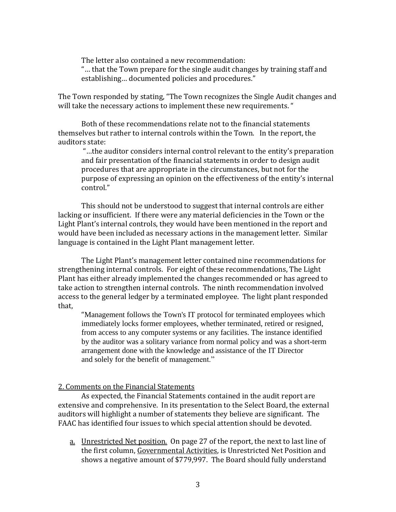The letter also contained a new recommendation:

"… that the Town prepare for the single audit changes by training staff and establishing… documented policies and procedures."

The Town responded by stating, "The Town recognizes the Single Audit changes and will take the necessary actions to implement these new requirements. "

Both of these recommendations relate not to the financial statements themselves but rather to internal controls within the Town. In the report, the auditors state:

"…the auditor considers internal control relevant to the entity's preparation and fair presentation of the financial statements in order to design audit procedures that are appropriate in the circumstances, but not for the purpose of expressing an opinion on the effectiveness of the entity's internal control."

This should not be understood to suggest that internal controls are either lacking or insufficient. If there were any material deficiencies in the Town or the Light Plant's internal controls, they would have been mentioned in the report and would have been included as necessary actions in the management letter. Similar language is contained in the Light Plant management letter.

The Light Plant's management letter contained nine recommendations for strengthening internal controls. For eight of these recommendations, The Light Plant has either already implemented the changes recommended or has agreed to take action to strengthen internal controls. The ninth recommendation involved access to the general ledger by a terminated employee. The light plant responded that,

"Management follows the Town's IT protocol for terminated employees which immediately locks former employees, whether terminated, retired or resigned, from access to any computer systems or any facilities. The instance identified by the auditor was a solitary variance from normal policy and was a short-term arrangement done with the knowledge and assistance of the IT Director and solely for the benefit of management."

#### 2. Comments on the Financial Statements

As expected, the Financial Statements contained in the audit report are extensive and comprehensive. In its presentation to the Select Board, the external auditors will highlight a number of statements they believe are significant. The FAAC has identified four issues to which special attention should be devoted.

a. Unrestricted Net position. On page 27 of the report, the next to last line of the first column, Governmental Activities, is Unrestricted Net Position and shows a negative amount of \$779,997. The Board should fully understand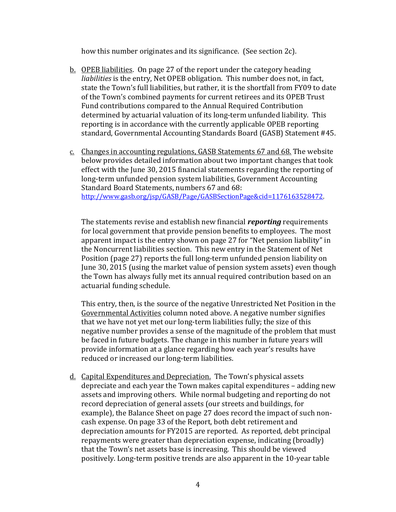how this number originates and its significance. (See section 2c).

- b. OPEB liabilities. On page 27 of the report under the category heading *liabilities* is the entry, Net OPEB obligation. This number does not, in fact, state the Town's full liabilities, but rather, it is the shortfall from FY09 to date of the Town's combined payments for current retirees and its OPEB Trust Fund contributions compared to the Annual Required Contribution determined by actuarial valuation of its long-term unfunded liability. This reporting is in accordance with the currently applicable OPEB reporting standard, Governmental Accounting Standards Board (GASB) Statement #45.
- c. Changes in accounting regulations, GASB Statements 67 and 68. The website below provides detailed information about two important changes that took effect with the June 30, 2015 financial statements regarding the reporting of long-term unfunded pension system liabilities, Government Accounting Standard Board Statements, numbers 67 and 68: [http://www.gasb.org/jsp/GASB/Page/GASBSectionPage&cid=1176163528472.](http://www.gasb.org/jsp/GASB/Page/GASBSectionPage&cid=1176163528472)

The statements revise and establish new financial *reporting* requirements for local government that provide pension benefits to employees. The most apparent impact is the entry shown on page 27 for "Net pension liability" in the Noncurrent liabilities section. This new entry in the Statement of Net Position (page 27) reports the full long-term unfunded pension liability on June 30, 2015 (using the market value of pension system assets) even though the Town has always fully met its annual required contribution based on an actuarial funding schedule.

This entry, then, is the source of the negative Unrestricted Net Position in the Governmental Activities column noted above. A negative number signifies that we have not yet met our long-term liabilities fully; the size of this negative number provides a sense of the magnitude of the problem that must be faced in future budgets. The change in this number in future years will provide information at a glance regarding how each year's results have reduced or increased our long-term liabilities.

d. Capital Expenditures and Depreciation. The Town's physical assets depreciate and each year the Town makes capital expenditures – adding new assets and improving others. While normal budgeting and reporting do not record depreciation of general assets (our streets and buildings, for example), the Balance Sheet on page 27 does record the impact of such noncash expense. On page 33 of the Report, both debt retirement and depreciation amounts for FY2015 are reported. As reported, debt principal repayments were greater than depreciation expense, indicating (broadly) that the Town's net assets base is increasing. This should be viewed positively. Long-term positive trends are also apparent in the 10-year table